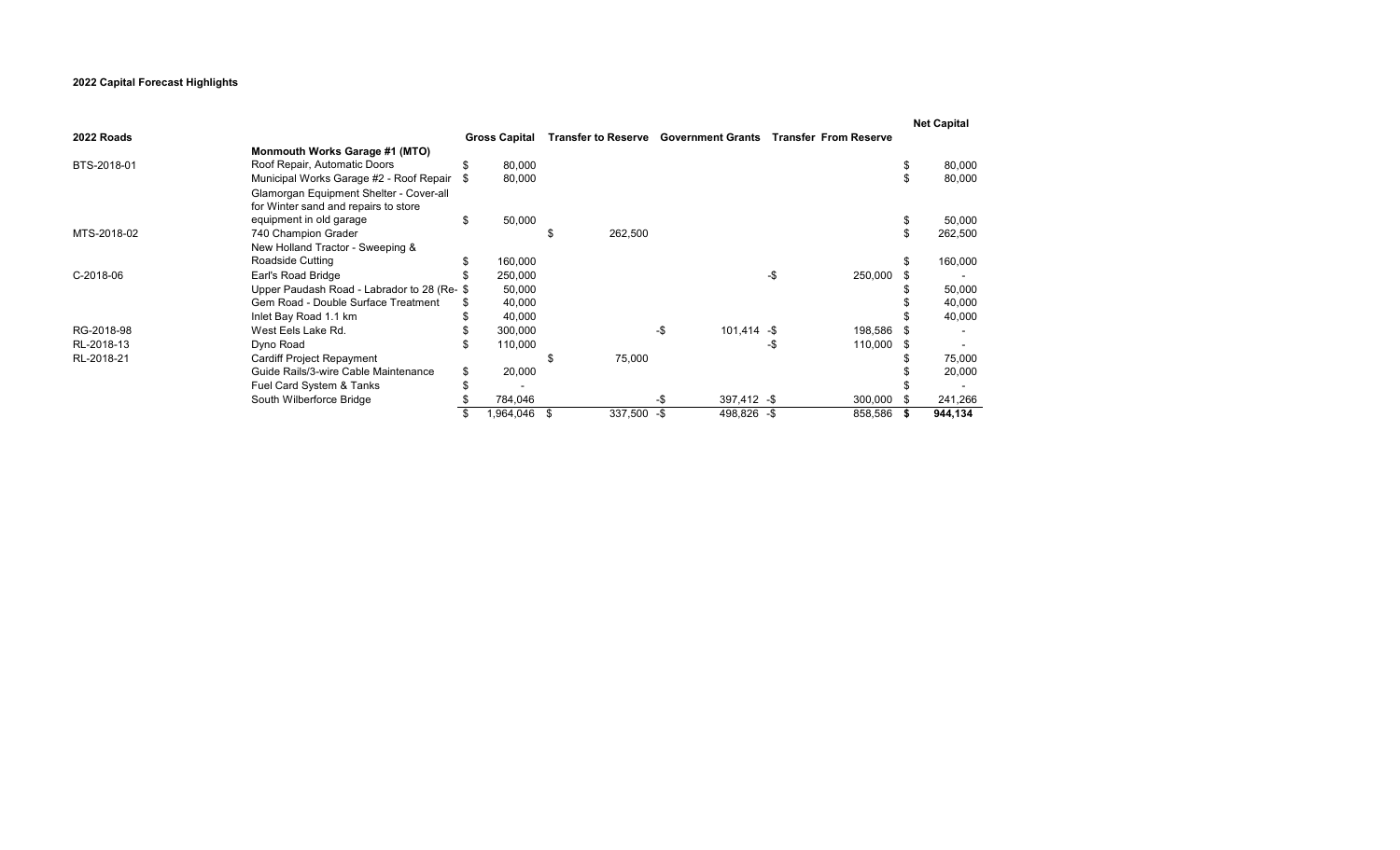## **2022 Capital Forecast Highlights**

|             |                                            |     |                      |    |                                              |     |               |     |                              | <b>Net Capital</b> |
|-------------|--------------------------------------------|-----|----------------------|----|----------------------------------------------|-----|---------------|-----|------------------------------|--------------------|
| 2022 Roads  |                                            |     | <b>Gross Capital</b> |    | <b>Transfer to Reserve Government Grants</b> |     |               |     | <b>Transfer From Reserve</b> |                    |
|             | <b>Monmouth Works Garage #1 (MTO)</b>      |     |                      |    |                                              |     |               |     |                              |                    |
| BTS-2018-01 | Roof Repair, Automatic Doors               | \$  | 80,000               |    |                                              |     |               |     |                              | 80,000             |
|             | Municipal Works Garage #2 - Roof Repair    |     | 80,000               |    |                                              |     |               |     |                              | 80,000             |
|             | Glamorgan Equipment Shelter - Cover-all    |     |                      |    |                                              |     |               |     |                              |                    |
|             | for Winter sand and repairs to store       |     |                      |    |                                              |     |               |     |                              |                    |
|             | equipment in old garage                    | \$  | 50,000               |    |                                              |     |               |     |                              | 50,000             |
| MTS-2018-02 | 740 Champion Grader                        |     |                      |    | 262,500                                      |     |               |     |                              | 262,500            |
|             | New Holland Tractor - Sweeping &           |     |                      |    |                                              |     |               |     |                              |                    |
|             | Roadside Cutting                           | \$. | 160,000              |    |                                              |     |               |     |                              | 160,000            |
| C-2018-06   | Earl's Road Bridge                         |     | 250,000              |    |                                              |     |               | -\$ | 250,000                      |                    |
|             | Upper Paudash Road - Labrador to 28 (Re-\$ |     | 50,000               |    |                                              |     |               |     |                              | 50,000             |
|             | Gem Road - Double Surface Treatment        |     | 40,000               |    |                                              |     |               |     |                              | 40,000             |
|             | Inlet Bay Road 1.1 km                      |     | 40,000               |    |                                              |     |               |     |                              | 40,000             |
| RG-2018-98  | West Eels Lake Rd.                         |     | 300,000              |    |                                              | -\$ | $101,414 - $$ |     | 198,586                      |                    |
| RL-2018-13  | Dyno Road                                  |     | 110,000              |    |                                              |     |               | -ა  | 110,000                      |                    |
| RL-2018-21  | Cardiff Project Repayment                  |     |                      |    | 75,000                                       |     |               |     |                              | 75,000             |
|             | Guide Rails/3-wire Cable Maintenance       | \$  | 20,000               |    |                                              |     |               |     |                              | 20,000             |
|             | Fuel Card System & Tanks                   |     |                      |    |                                              |     |               |     |                              |                    |
|             | South Wilberforce Bridge                   |     | 784,046              |    |                                              | -\$ | $397,412 - $$ |     | 300,000                      | 241,266            |
|             |                                            |     | 1,964,046            | \$ | 337,500 - \$                                 |     | 498,826 - \$  |     | 858,586                      | 944,134            |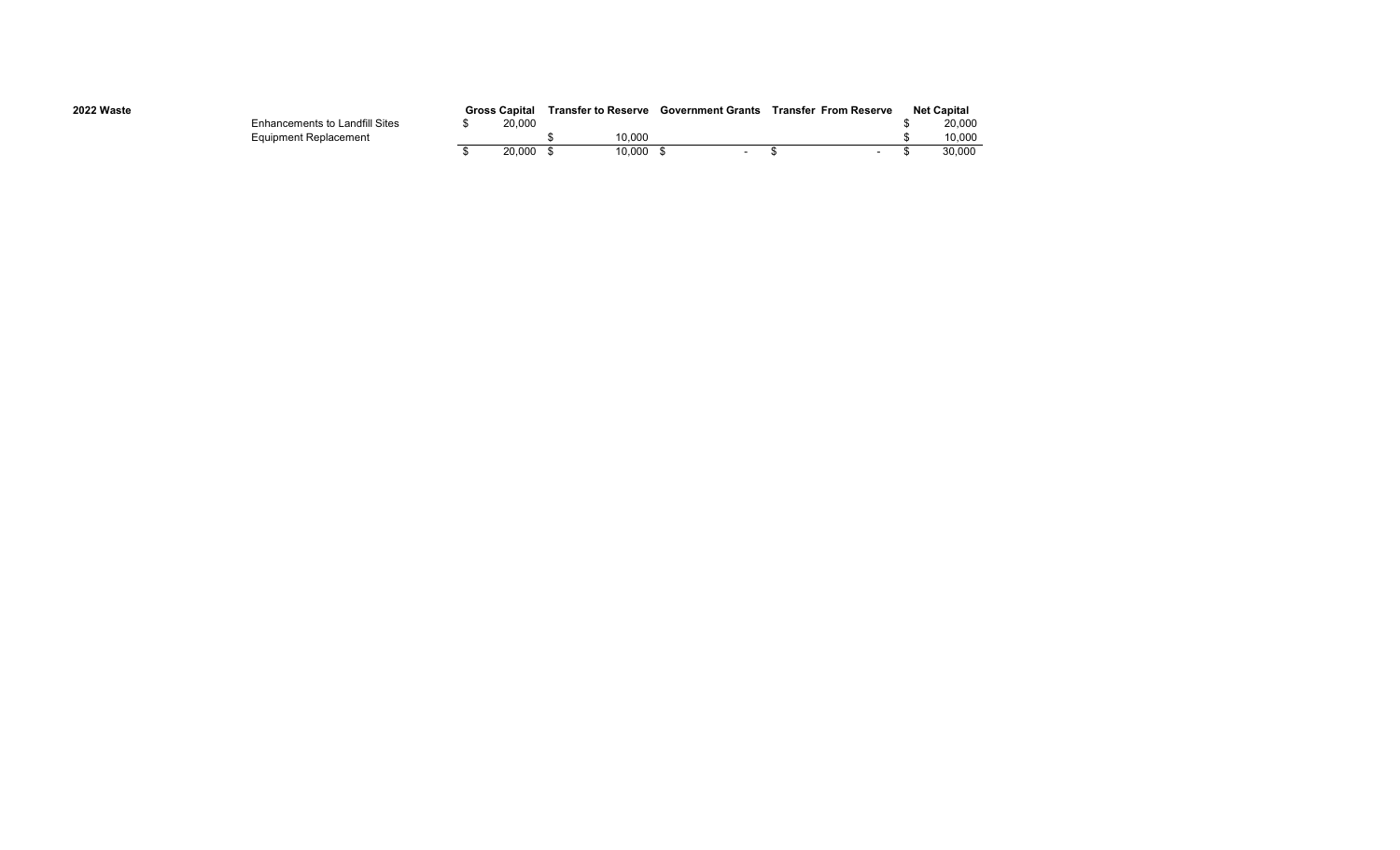| 2022 Waste |                                       | <b>Gross Capital</b> |        | <b>Transfer to Reserve</b> |        | <b>Government Grants</b> | Transfer From Reserve | <b>Net Capital</b> |
|------------|---------------------------------------|----------------------|--------|----------------------------|--------|--------------------------|-----------------------|--------------------|
|            | <b>Enhancements to Landfill Sites</b> |                      | 20,000 |                            |        |                          |                       | 20,000             |
|            | Equipment Replacement                 |                      |        |                            | 10.000 |                          |                       | 10.000             |
|            |                                       |                      | 20.000 |                            | 10.000 |                          |                       | 30.000             |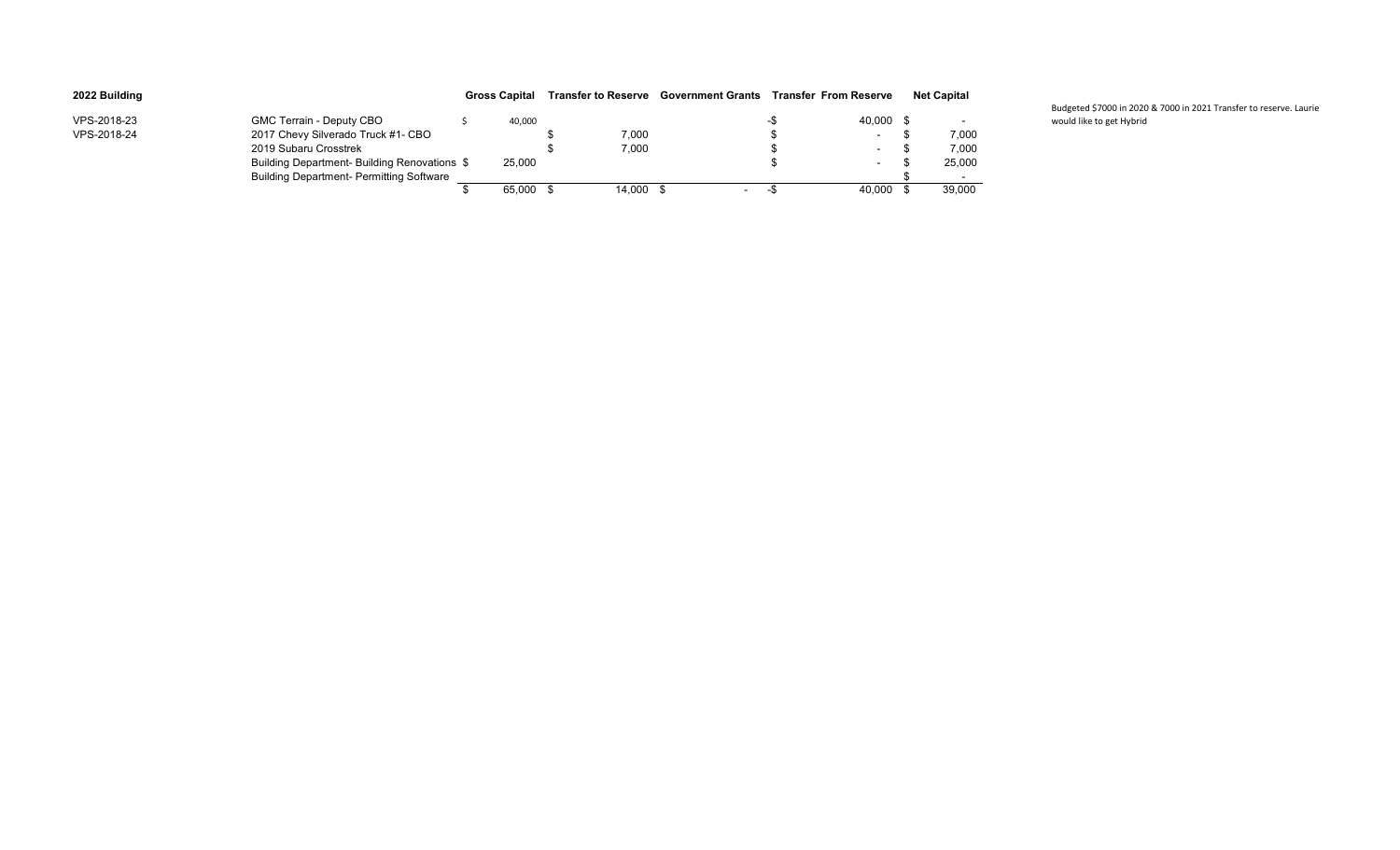| 2022 Building |                                                 | <b>Gross Capital</b> |        | <b>Transfer to Reserve Government Grants</b> |     | <b>Transfer From Reserve</b> | <b>Net Capital</b> |
|---------------|-------------------------------------------------|----------------------|--------|----------------------------------------------|-----|------------------------------|--------------------|
| VPS-2018-23   | GMC Terrain - Deputy CBO                        | 40,000               |        |                                              |     | 40,000 \$                    | $\sim$             |
| VPS-2018-24   | 2017 Chevy Silverado Truck #1- CBO              |                      | 7,000  |                                              |     | $\blacksquare$               | 7.000              |
|               | 2019 Subaru Crosstrek                           |                      | 7.000  |                                              |     | $\sim$                       | 7.000              |
|               | Building Department- Building Renovations \$    | 25,000               |        |                                              |     | $\sim$                       | 25,000             |
|               | <b>Building Department- Permitting Software</b> |                      |        |                                              |     |                              | $\sim$             |
|               |                                                 | 65.000 \$            | 14,000 | $\sim$                                       | -35 | 40.000                       | 39,000             |

Budgeted \$7000 in 2020 & 7000 in 2021 Transfer to reserve. Laurie would like to get Hybrid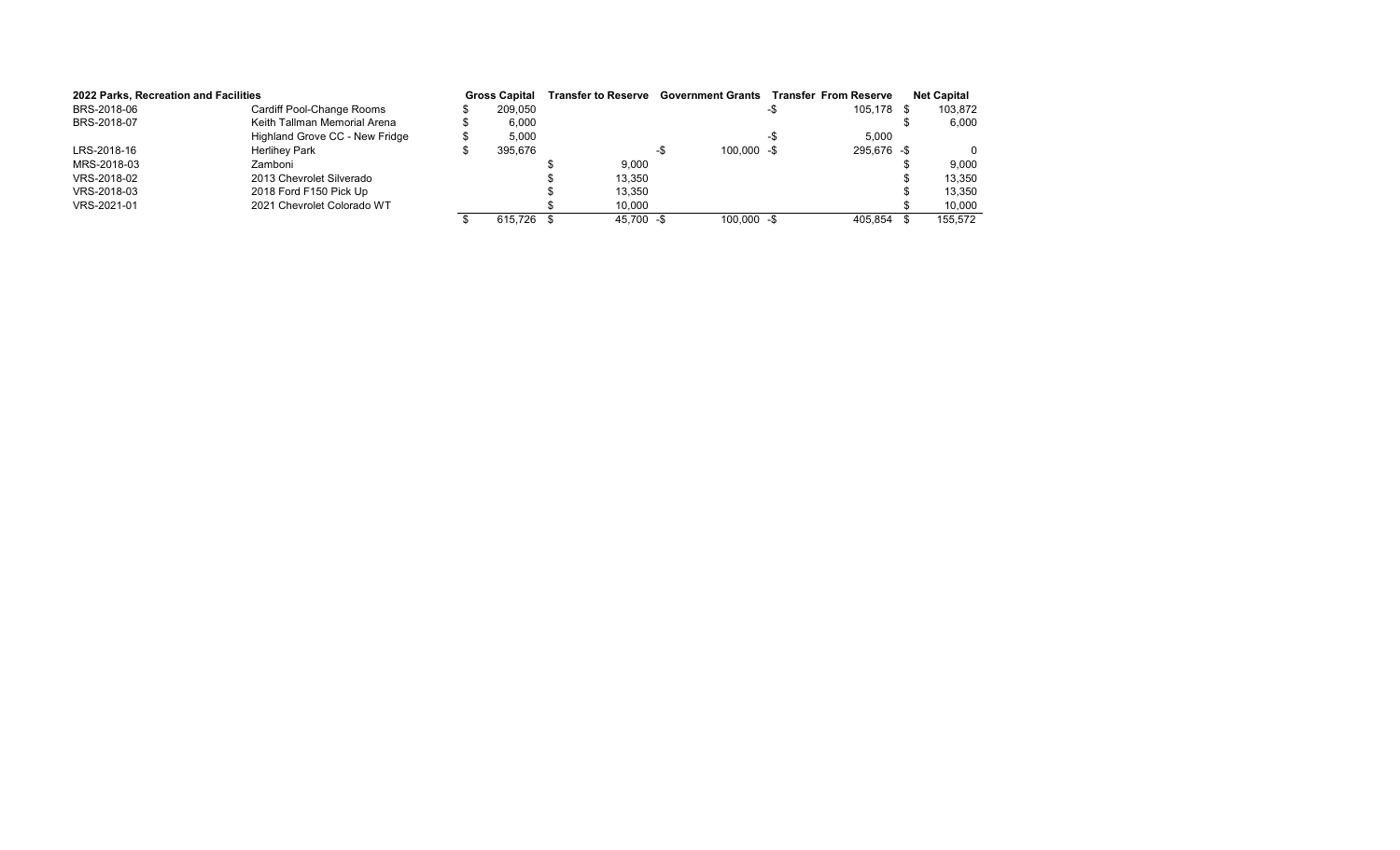| 2022 Parks, Recreation and Facilities |                                | <b>Gross Capital</b> | Transfer to Reserve Government Grants Transfer From Reserve |     |               |             | <b>Net Capital</b> |
|---------------------------------------|--------------------------------|----------------------|-------------------------------------------------------------|-----|---------------|-------------|--------------------|
| BRS-2018-06                           | Cardiff Pool-Change Rooms      | 209.050              |                                                             |     |               | 105.178 \$  | 103,872            |
| BRS-2018-07                           | Keith Tallman Memorial Arena   | 6.000                |                                                             |     |               |             | 6,000              |
|                                       | Highland Grove CC - New Fridge | 5,000                |                                                             |     |               | 5,000       |                    |
| LRS-2018-16                           | <b>Herlihey Park</b>           | 395.676              |                                                             | –.ኬ | $100.000 - $$ | 295.676 -\$ |                    |
| MRS-2018-03                           | Zamboni                        |                      | 9.000                                                       |     |               |             | 9.000              |
| VRS-2018-02                           | 2013 Chevrolet Silverado       |                      | 13,350                                                      |     |               |             | 13,350             |
| VRS-2018-03                           | 2018 Ford F150 Pick Up         |                      | 13.350                                                      |     |               |             | 13,350             |
| VRS-2021-01                           | 2021 Chevrolet Colorado WT     |                      | 10,000                                                      |     |               |             | 10,000             |
|                                       |                                | 615.726 \$           | 45.700 - \$                                                 |     | $100.000 - $$ | 405.854 \$  | 155.572            |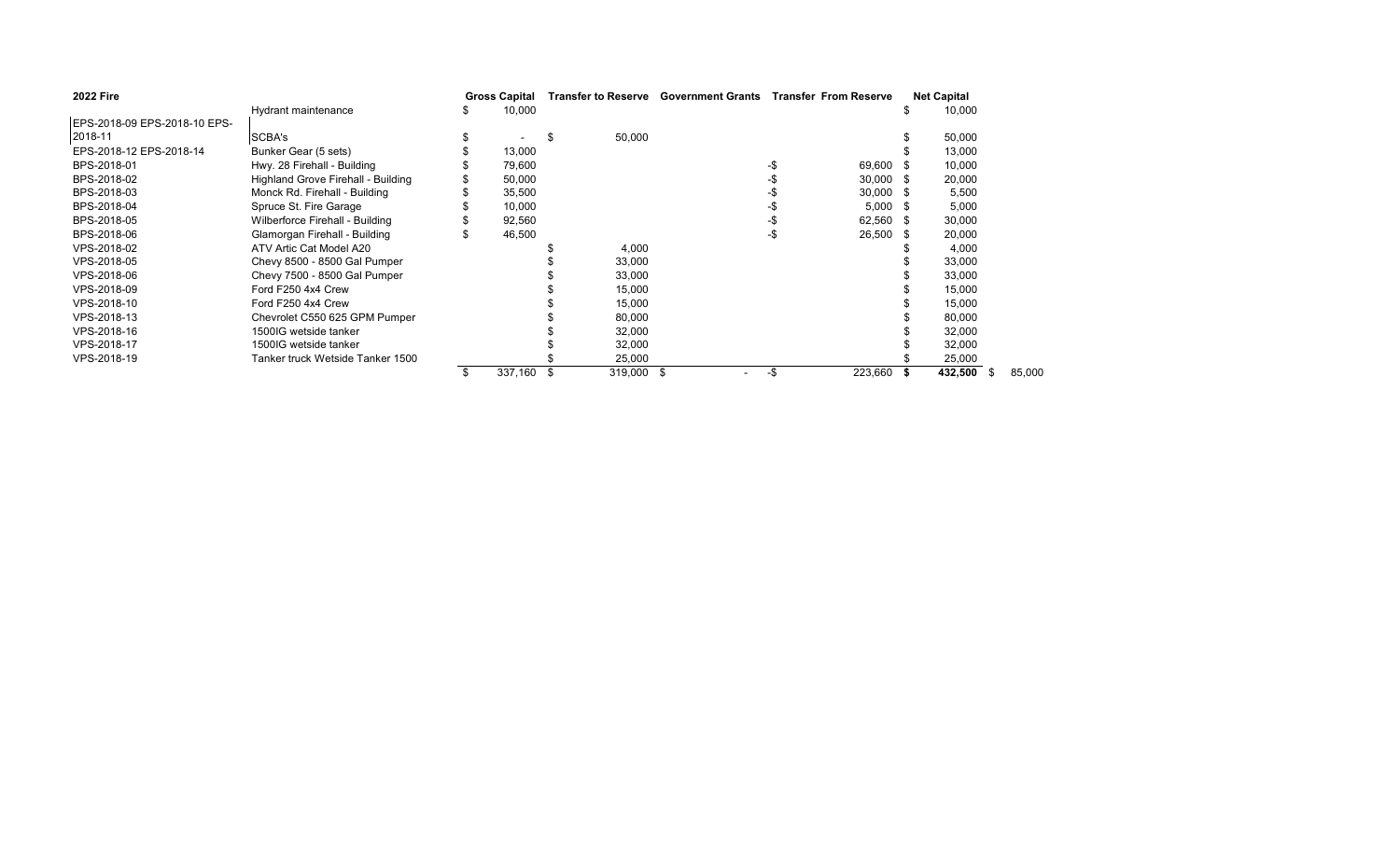| <b>2022 Fire</b>             |                                    | <b>Gross Capital</b> |         |    |            | Transfer to Reserve Government Grants Transfer From Reserve |             | <b>Net Capital</b> |         |        |
|------------------------------|------------------------------------|----------------------|---------|----|------------|-------------------------------------------------------------|-------------|--------------------|---------|--------|
|                              | Hydrant maintenance                |                      | 10,000  |    |            |                                                             |             |                    | 10,000  |        |
| EPS-2018-09 EPS-2018-10 EPS- |                                    |                      |         |    |            |                                                             |             |                    |         |        |
| 2018-11                      | SCBA's                             |                      |         | .S | 50,000     |                                                             |             |                    | 50,000  |        |
| EPS-2018-12 EPS-2018-14      | Bunker Gear (5 sets)               |                      | 13,000  |    |            |                                                             |             |                    | 13,000  |        |
| BPS-2018-01                  | Hwy. 28 Firehall - Building        |                      | 79,600  |    |            | -\$                                                         | 69,600      |                    | 10,000  |        |
| BPS-2018-02                  | Highland Grove Firehall - Building |                      | 50,000  |    |            |                                                             | $30,000$ \$ |                    | 20,000  |        |
| BPS-2018-03                  | Monck Rd. Firehall - Building      |                      | 35,500  |    |            |                                                             | $30,000$ \$ |                    | 5,500   |        |
| BPS-2018-04                  | Spruce St. Fire Garage             |                      | 10,000  |    |            |                                                             | $5,000$ \$  |                    | 5,000   |        |
| BPS-2018-05                  | Wilberforce Firehall - Building    |                      | 92,560  |    |            |                                                             | 62,560 \$   |                    | 30,000  |        |
| BPS-2018-06                  | Glamorgan Firehall - Building      |                      | 46,500  |    |            |                                                             | 26,500 \$   |                    | 20,000  |        |
| VPS-2018-02                  | ATV Artic Cat Model A20            |                      |         |    | 4,000      |                                                             |             |                    | 4,000   |        |
| VPS-2018-05                  | Chevy 8500 - 8500 Gal Pumper       |                      |         |    | 33,000     |                                                             |             |                    | 33,000  |        |
| VPS-2018-06                  | Chevy 7500 - 8500 Gal Pumper       |                      |         |    | 33,000     |                                                             |             |                    | 33,000  |        |
| VPS-2018-09                  | Ford F250 4x4 Crew                 |                      |         |    | 15,000     |                                                             |             |                    | 15,000  |        |
| VPS-2018-10                  | Ford F250 4x4 Crew                 |                      |         |    | 15,000     |                                                             |             |                    | 15,000  |        |
| VPS-2018-13                  | Chevrolet C550 625 GPM Pumper      |                      |         |    | 80,000     |                                                             |             |                    | 80,000  |        |
| VPS-2018-16                  | 1500IG wetside tanker              |                      |         |    | 32,000     |                                                             |             |                    | 32,000  |        |
| VPS-2018-17                  | 1500IG wetside tanker              |                      |         |    | 32,000     |                                                             |             |                    | 32,000  |        |
| VPS-2018-19                  | Tanker truck Wetside Tanker 1500   |                      |         |    | 25,000     |                                                             |             |                    | 25,000  |        |
|                              |                                    |                      | 337,160 |    | 319,000 \$ | -\$                                                         | 223,660     |                    | 432,500 | 85,000 |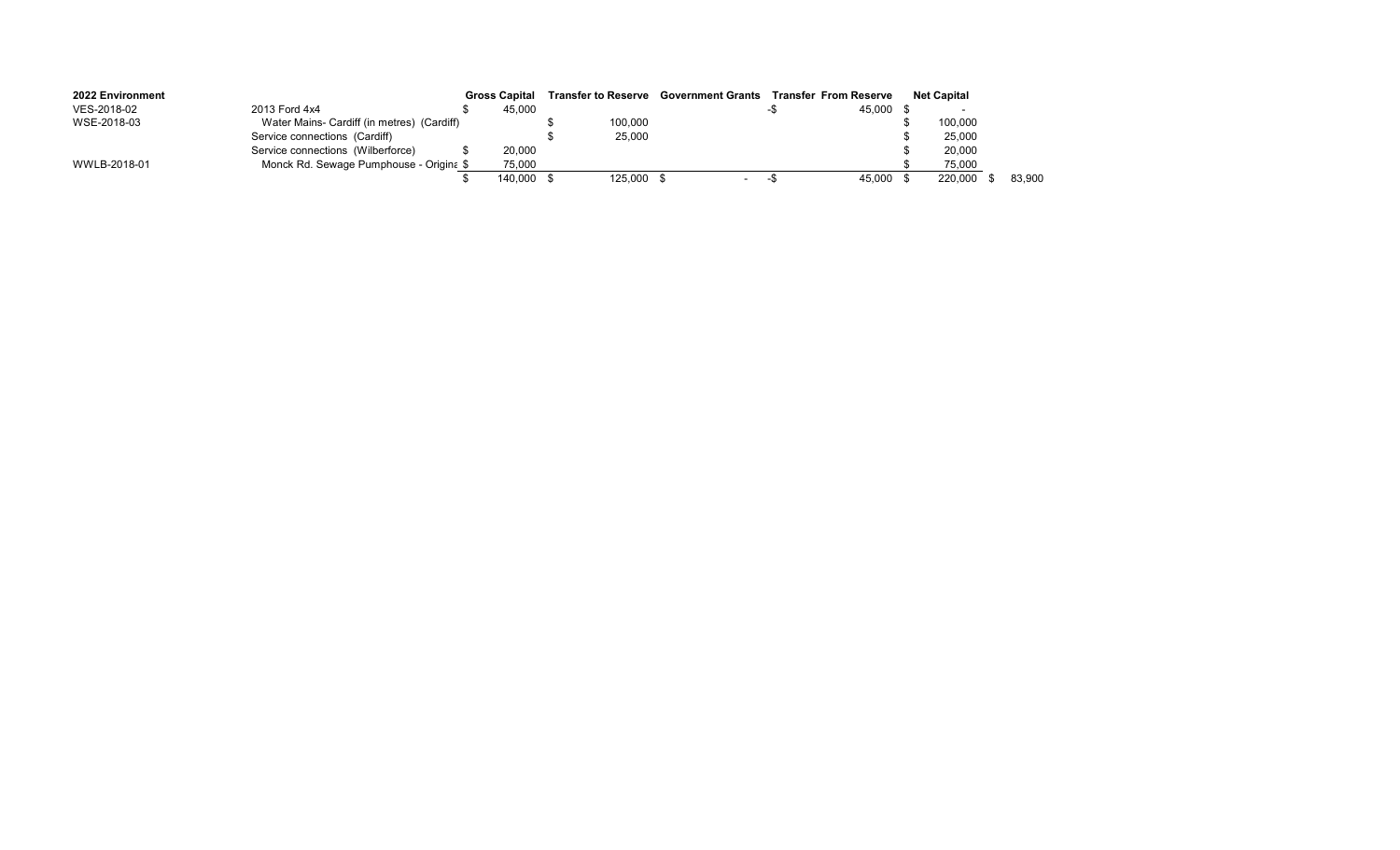| 2022 Environment |                                            | <b>Gross Capital</b> |            | <b>Transfer to Reserve</b> Government Grants | <b>Transfer From Reserve</b> |        | <b>Net Capital</b> |        |
|------------------|--------------------------------------------|----------------------|------------|----------------------------------------------|------------------------------|--------|--------------------|--------|
| VES-2018-02      | 2013 Ford 4x4                              | 45.000               |            |                                              |                              | 45,000 |                    |        |
| WSE-2018-03      | Water Mains- Cardiff (in metres) (Cardiff) |                      | 100,000    |                                              |                              |        | 100,000            |        |
|                  | Service connections (Cardiff)              |                      | 25,000     |                                              |                              |        | 25,000             |        |
|                  | Service connections (Wilberforce)          | 20.000               |            |                                              |                              |        | 20,000             |        |
| WWLB-2018-01     | Monck Rd. Sewage Pumphouse - Origina \$    | 75,000               |            |                                              |                              |        | 75,000             |        |
|                  |                                            | 140.000              | 125,000 \$ | $\sim$                                       |                              | 45.000 | 220.000            | 83.900 |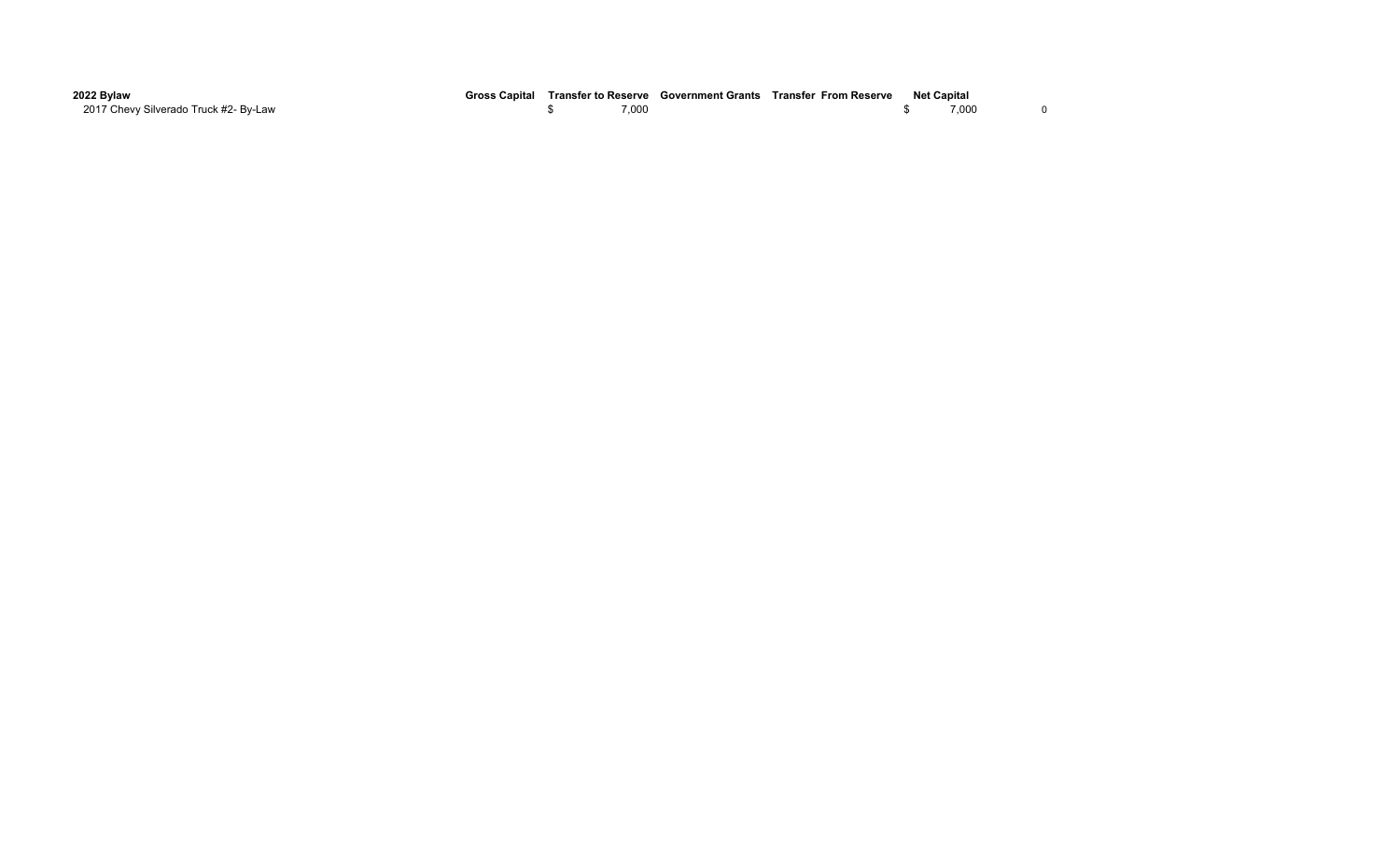| 2022 Bylaw                            | <b>Gross Capital</b> | Transfer to Reserve | Government Grants Transfer From Reserve | <b>Net Capital</b> |       |  |
|---------------------------------------|----------------------|---------------------|-----------------------------------------|--------------------|-------|--|
| 2017 Chevy Silverado Truck #2- By-Law |                      | 7,000               |                                         |                    | 7,000 |  |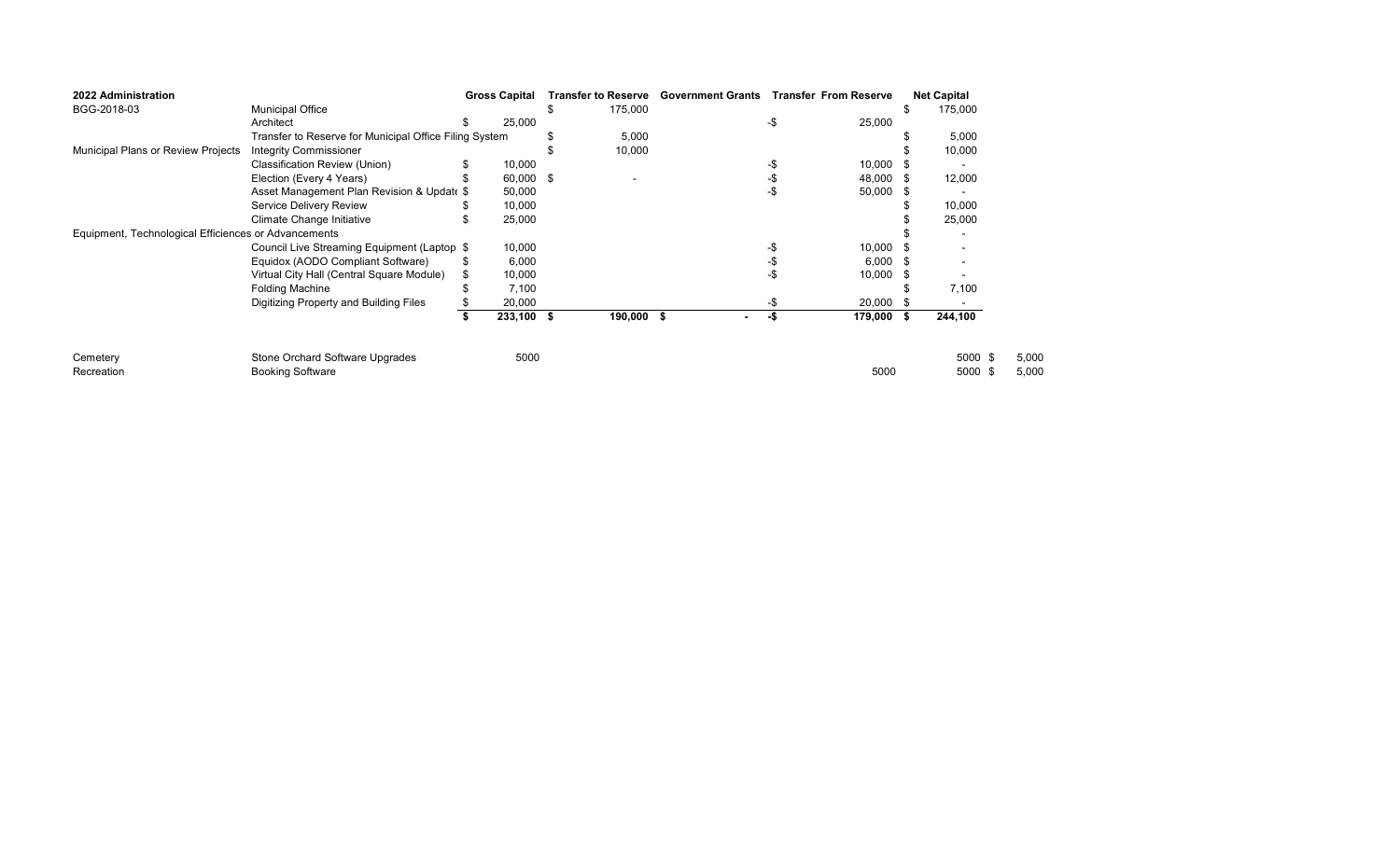| 2022 Administration                                  |                                                        | <b>Gross Capital</b> |      | <b>Transfer to Reserve</b> | <b>Government Grants</b> |     | <b>Transfer From Reserve</b> |      | <b>Net Capital</b> |       |
|------------------------------------------------------|--------------------------------------------------------|----------------------|------|----------------------------|--------------------------|-----|------------------------------|------|--------------------|-------|
| BGG-2018-03                                          | <b>Municipal Office</b>                                |                      |      | 175,000                    |                          |     |                              |      | 175,000            |       |
|                                                      | Architect                                              | 25,000               |      |                            |                          | -\$ | 25,000                       |      |                    |       |
|                                                      | Transfer to Reserve for Municipal Office Filing System |                      |      | 5,000                      |                          |     |                              |      | 5,000              |       |
| Municipal Plans or Review Projects                   | <b>Integrity Commissioner</b>                          |                      |      | 10,000                     |                          |     |                              |      | 10,000             |       |
|                                                      | Classification Review (Union)                          | 10,000               |      |                            |                          | -\$ | 10,000                       |      |                    |       |
|                                                      | Election (Every 4 Years)                               | 60,000               | - \$ | $\overline{\phantom{a}}$   |                          |     | 48,000                       | - \$ | 12,000             |       |
|                                                      | Asset Management Plan Revision & Update \$             | 50,000               |      |                            |                          | -\$ | 50,000                       |      |                    |       |
|                                                      | <b>Service Delivery Review</b>                         | 10,000               |      |                            |                          |     |                              |      | 10,000             |       |
|                                                      | Climate Change Initiative                              | 25,000               |      |                            |                          |     |                              |      | 25,000             |       |
| Equipment, Technological Efficiences or Advancements |                                                        |                      |      |                            |                          |     |                              |      |                    |       |
|                                                      | Council Live Streaming Equipment (Laptop \$            | 10,000               |      |                            |                          |     | 10,000                       |      |                    |       |
|                                                      | Equidox (AODO Compliant Software)                      | \$<br>6,000          |      |                            |                          |     | 6,000                        | - S  |                    |       |
|                                                      | Virtual City Hall (Central Square Module)              | 10,000               |      |                            |                          |     | 10,000                       | - \$ |                    |       |
|                                                      | <b>Folding Machine</b>                                 | 7,100                |      |                            |                          |     |                              |      | 7,100              |       |
|                                                      | Digitizing Property and Building Files                 | 20,000               |      |                            |                          | -\$ | 20,000                       |      |                    |       |
|                                                      |                                                        | 233,100              |      | 190,000 \$                 |                          | -\$ | 179,000                      | - \$ | 244,100            |       |
| Cemetery                                             | Stone Orchard Software Upgrades                        | 5000                 |      |                            |                          |     |                              |      | 5000 \$            | 5,000 |
| Recreation                                           | <b>Booking Software</b>                                |                      |      |                            |                          |     | 5000                         |      | 5000 \$            | 5,000 |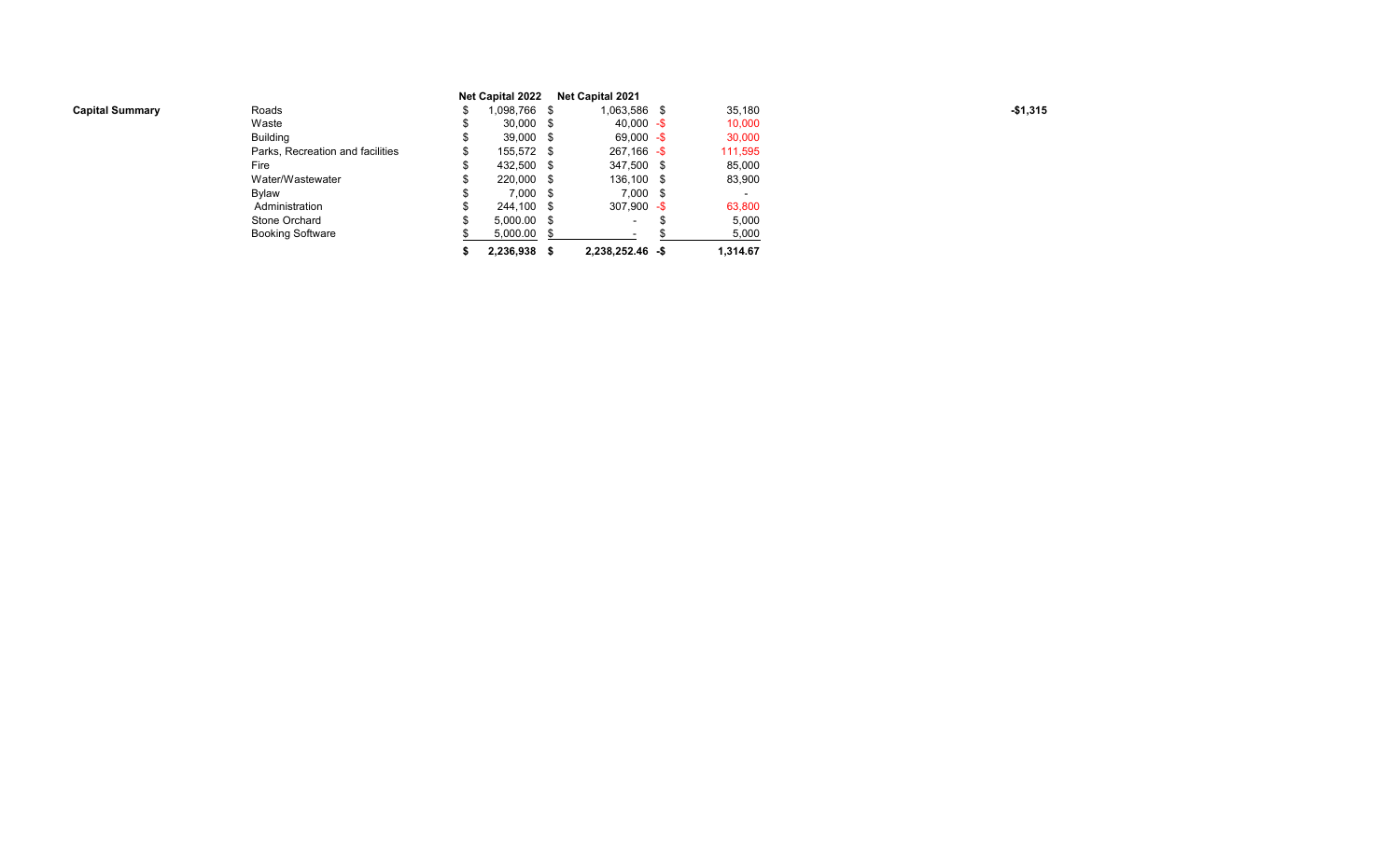|                        |                                  |   | <b>Net Capital 2022</b> | <b>Net Capital 2021</b>  |    |                          |           |
|------------------------|----------------------------------|---|-------------------------|--------------------------|----|--------------------------|-----------|
| <b>Capital Summary</b> | Roads                            |   | 1,098,766 \$            | 1,063,586 \$             |    | 35,180                   | $-$1,315$ |
|                        | Waste                            |   | $30,000$ \$             | $40,000 - $$             |    | 10,000                   |           |
|                        | <b>Building</b>                  |   | 39,000 \$               | $69,000 - $$             |    | 30,000                   |           |
|                        | Parks, Recreation and facilities |   | 155,572 \$              | $267,166 - $$            |    | 111,595                  |           |
|                        | Fire                             | ъ | 432,500 \$              | 347,500 \$               |    | 85,000                   |           |
|                        | Water/Wastewater                 |   | 220,000 \$              | 136,100 \$               |    | 83,900                   |           |
|                        | Bylaw                            |   | $7,000$ \$              | $7,000$ \$               |    | $\overline{\phantom{a}}$ |           |
|                        | Administration                   |   | 244.100 \$              | $307,900 - $$            |    | 63,800                   |           |
|                        | Stone Orchard                    |   | $5,000.00$ \$           | $\overline{\phantom{0}}$ | ъ. | 5,000                    |           |
|                        | <b>Booking Software</b>          |   | 5,000.00                |                          |    | 5,000                    |           |
|                        |                                  |   | 2,236,938 \$            | 2,238,252.46 -\$         |    | 1,314.67                 |           |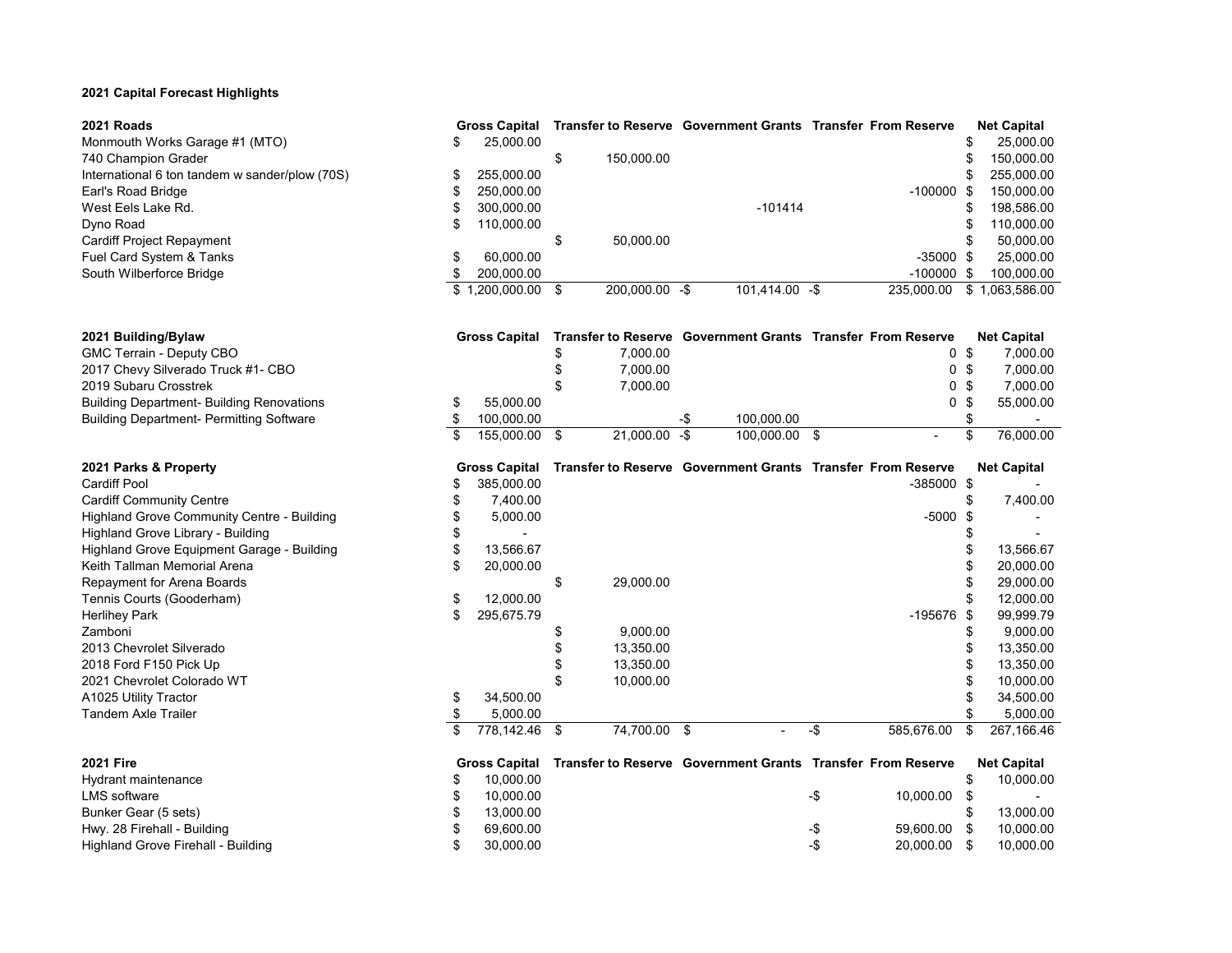## **2021 Capital Forecast Highlights**

**2021 Building/Bylaw Gross Capital Transfer to Reserve Government Grants Transfer From Reserve Net Capital** GMC Terrain - Deputy CBO

| Monmouth Works Garage #1 (MTO)                 |
|------------------------------------------------|
| 740 Champion Grader                            |
| International 6 ton tandem w sander/plow (70S) |
| Earl's Road Bridge                             |
| West Eels Lake Rd.                             |
| Dyno Road                                      |
| <b>Cardiff Project Repayment</b>               |
| Fuel Card System & Tanks                       |
| South Wilberforce Bridge                       |

| 2021 Roads                                     | <b>Gross Capital</b> |                |                | <b>Transfer to Reserve Government Grants Transfer From Reserve</b> | <b>Net Capital</b> |
|------------------------------------------------|----------------------|----------------|----------------|--------------------------------------------------------------------|--------------------|
| Monmouth Works Garage #1 (MTO)                 | 25.000.00            |                |                |                                                                    | 25,000.00          |
| 740 Champion Grader                            |                      | 150.000.00     |                |                                                                    | 150,000.00         |
| International 6 ton tandem w sander/plow (70S) | 255.000.00           |                |                |                                                                    | 255,000.00         |
| Earl's Road Bridge                             | 250.000.00           |                |                | $-100000$ \$                                                       | 150,000.00         |
| West Eels Lake Rd.                             | 300.000.00           |                | $-101414$      |                                                                    | 198,586.00         |
| Dyno Road                                      | 110.000.00           |                |                |                                                                    | 110,000.00         |
| Cardiff Project Repayment                      |                      | 50.000.00      |                |                                                                    | 50,000.00          |
| Fuel Card System & Tanks                       | 60.000.00            |                |                | $-35000$ \$                                                        | 25,000.00          |
| South Wilberforce Bridge                       | 200.000.00           |                |                | $-100000$ \$                                                       | 100.000.00         |
|                                                | \$1.200.000.00       | 200.000.00 -\$ | 101.414.00 -\$ | 235.000.00                                                         | \$1,063,586.00     |

| 2021 Building/Bylaw                              | <b>Gross Capital</b> |                 |     |               | Transfer to Reserve Government Grants Transfer From Reserve | <b>Net Capital</b>       |
|--------------------------------------------------|----------------------|-----------------|-----|---------------|-------------------------------------------------------------|--------------------------|
| GMC Terrain - Deputy CBO                         |                      | 7.000.00        |     |               | 0 \$                                                        | 7.000.00                 |
| 2017 Chevy Silverado Truck #1- CBO               |                      | 7.000.00        |     |               | 0 \$                                                        | 7.000.00                 |
| 2019 Subaru Crosstrek                            |                      | 7.000.00        |     |               | 0 \$                                                        | 7.000.00                 |
| <b>Building Department- Building Renovations</b> | 55.000.00            |                 |     |               | 0 S                                                         | 55.000.00                |
| <b>Building Department- Permitting Software</b>  | 100.000.00           |                 | –.ኬ | 100.000.00    |                                                             | $\overline{\phantom{0}}$ |
|                                                  | 155.000.00           | $21.000.00 - $$ |     | 100.000.00 \$ | $\overline{\phantom{0}}$                                    | 76.000.00                |

| 2021 Parks & Property                      | <b>Gross Capital</b> |              | Transfer to Reserve Government Grants Transfer From Reserve |     |              |    | <b>Net Capital</b> |
|--------------------------------------------|----------------------|--------------|-------------------------------------------------------------|-----|--------------|----|--------------------|
| <b>Cardiff Pool</b>                        | 385,000.00           |              |                                                             |     | $-385000$ \$ |    |                    |
| <b>Cardiff Community Centre</b>            | 7,400.00             |              |                                                             |     |              |    | 7,400.00           |
| Highland Grove Community Centre - Building | 5,000.00             |              |                                                             |     | -5000        |    |                    |
| Highland Grove Library - Building          |                      |              |                                                             |     |              |    |                    |
| Highland Grove Equipment Garage - Building | 13,566.67            |              |                                                             |     |              |    | 13,566.67          |
| Keith Tallman Memorial Arena               | 20,000.00            |              |                                                             |     |              |    | 20,000.00          |
| Repayment for Arena Boards                 |                      | 29,000.00    |                                                             |     |              |    | 29,000.00          |
| Tennis Courts (Gooderham)                  | 12,000.00            |              |                                                             |     |              |    | 12,000.00          |
| <b>Herlihey Park</b>                       | 295,675.79           |              |                                                             |     | -195676      |    | 99,999.79          |
| Zamboni                                    |                      | 9,000.00     |                                                             |     |              |    | 9,000.00           |
| 2013 Chevrolet Silverado                   |                      | 13,350.00    |                                                             |     |              |    | 13,350.00          |
| 2018 Ford F150 Pick Up                     |                      | 13,350.00    |                                                             |     |              |    | 13,350.00          |
| 2021 Chevrolet Colorado WT                 |                      | 10,000.00    |                                                             |     |              |    | 10,000.00          |
| A1025 Utility Tractor                      | 34,500.00            |              |                                                             |     |              |    | 34,500.00          |
| Tandem Axle Trailer                        | 5,000.00             |              |                                                             |     |              |    | 5,000.00           |
|                                            | 778,142.46 \$        | 74,700.00 \$ |                                                             | -\$ | 585,676.00   |    | 267,166.46         |
| <b>2021 Fire</b>                           | <b>Gross Capital</b> |              | Transfer to Reserve Government Grants Transfer From Reserve |     |              |    | <b>Net Capital</b> |
| Hydrant maintenance                        | 10,000.00            |              |                                                             |     |              |    | 10,000.00          |
| <b>LMS</b> software                        | 10,000.00            |              |                                                             | -\$ | 10,000.00    |    |                    |
| Bunker Gear (5 sets)                       | 13,000.00            |              |                                                             |     |              |    | 13,000.00          |
| Hwy. 28 Firehall - Building                | 69,600.00            |              |                                                             | -\$ | 59,600.00    |    | 10,000.00          |
| Highland Grove Firehall - Building         | 30,000.00            |              |                                                             | -\$ | 20,000.00    | S. | 10,000.00          |

Highland Grove Firehall - Building 6 10,000 00 5 30,000.00 5 30,000 00 5 40,000 00 5 5 40,000.00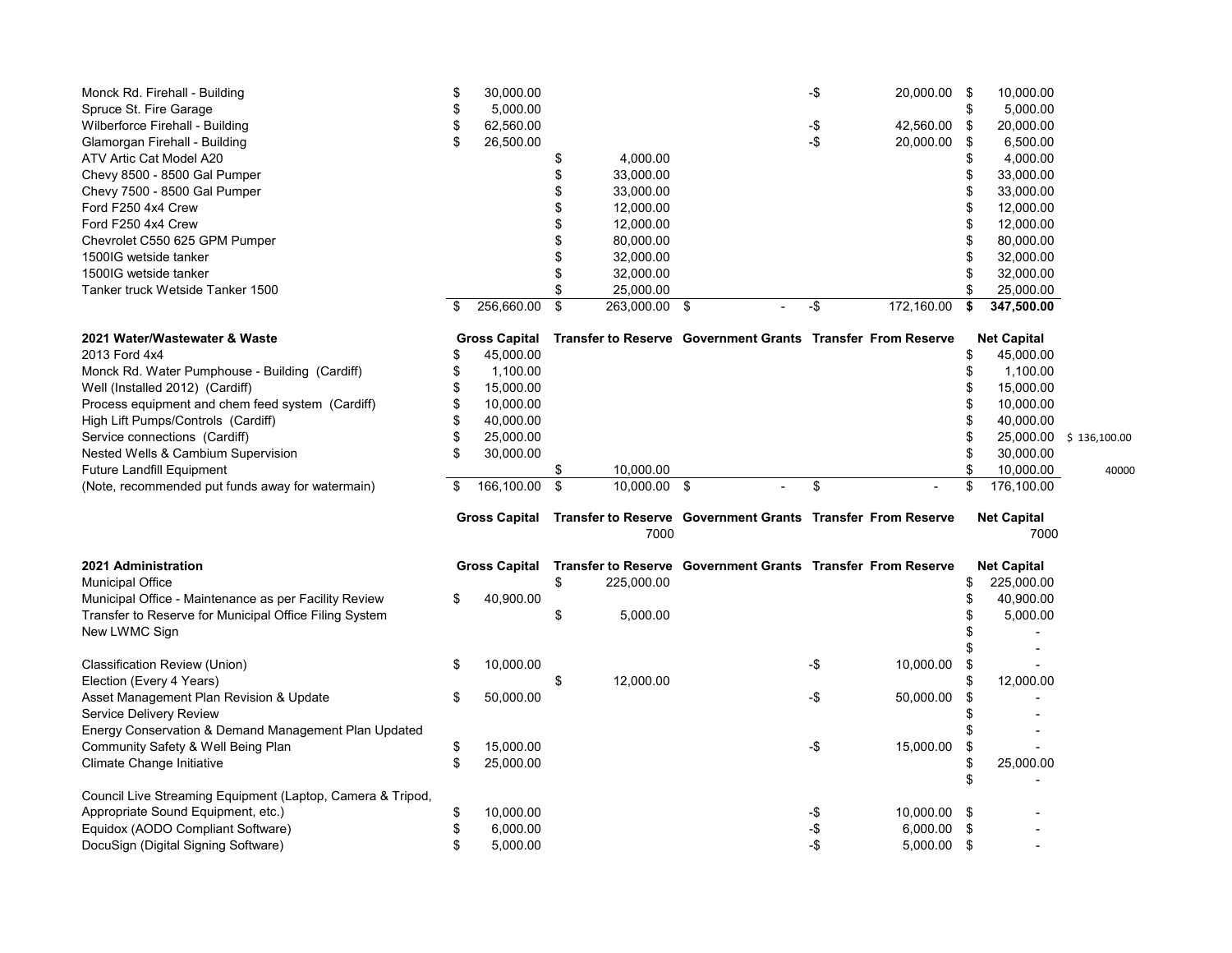| Monck Rd. Firehall - Building                  | S   | 30.000.00            |               |  | -\$ | 20,000.00                                                          | -S | 10,000.00          |
|------------------------------------------------|-----|----------------------|---------------|--|-----|--------------------------------------------------------------------|----|--------------------|
| Spruce St. Fire Garage                         |     | 5.000.00             |               |  |     |                                                                    |    | 5,000.00           |
| Wilberforce Firehall - Building                | S   | 62.560.00            |               |  | -\$ | 42.560.00                                                          |    | 20,000.00          |
| Glamorgan Firehall - Building                  | S   | 26,500.00            |               |  | -\$ | 20,000.00                                                          | -S | 6,500.00           |
| ATV Artic Cat Model A20                        |     |                      | 4.000.00      |  |     |                                                                    |    | 4.000.00           |
| Chevy 8500 - 8500 Gal Pumper                   |     |                      | 33,000.00     |  |     |                                                                    |    | 33,000.00          |
| Chevy 7500 - 8500 Gal Pumper                   |     |                      | 33,000.00     |  |     |                                                                    |    | 33,000.00          |
| Ford F250 4x4 Crew                             |     |                      | 12,000.00     |  |     |                                                                    |    | 12,000.00          |
| Ford F250 4x4 Crew                             |     |                      | 12,000.00     |  |     |                                                                    |    | 12.000.00          |
| Chevrolet C550 625 GPM Pumper                  |     |                      | 80,000.00     |  |     |                                                                    |    | 80,000.00          |
| 1500IG wetside tanker                          |     |                      | 32.000.00     |  |     |                                                                    |    | 32,000.00          |
| 1500IG wetside tanker                          |     |                      | 32,000.00     |  |     |                                                                    |    | 32,000.00          |
| Tanker truck Wetside Tanker 1500               |     |                      | 25,000.00     |  |     |                                                                    |    | 25,000.00          |
|                                                | \$. | 256,660.00           | 263,000.00 \$ |  | -\$ | 172,160.00                                                         |    | 347,500.00         |
| 2021 Water/Wastewater & Waste                  |     | <b>Gross Capital</b> |               |  |     | <b>Transfer to Reserve Government Grants Transfer From Reserve</b> |    | <b>Net Capital</b> |
| 2013 Ford 4x4                                  |     | 45,000.00            |               |  |     |                                                                    |    | 45,000.00          |
| Monck Rd. Water Pumphouse - Building (Cardiff) |     | 1,100.00             |               |  |     |                                                                    |    | 1,100.00           |
| Well (Installed 2012) (Cardiff)                |     | 15,000.00            |               |  |     |                                                                    |    | 15,000.00          |

Process equipment and chem feed system (Cardiff)  $\qquad$  \$ 10,000.00  $\qquad$  \$ 10.000.00 \$ 10,000.00 High Lift Pumps/Controls (Cardiff) \$ 40,000.00 \$ 40,000.00 Service connections (Cardiff)  $$ 25,000.00$   $$ 25,000.00$   $$ 25,000.00$   $$ 136,100.00$ Nested Wells & Cambium Supervision  $\frac{1}{2}$  30,000.00  $\frac{1}{2}$  30,000.00  $\frac{1}{2}$  30,000.00

Future Landfill Equipment **\$** 10,000.00 \$ 10,000.00 \$ 10,000.00 \$ 10,000.00 \$ 10,000.00 40000<br>(Note, recommended put funds away for watermain) \$ 166,100.00 \$ 10,000.00 \$ - \$ 176,100.00 \$ - \$ 176,100.00 (Note, recommended put funds away for watermain)  $\frac{1}{3}$  166,100.00 \$ 10,000.00 \$ - \$ 176,100.00 **Gross Capital Transfer to Reserve Government Grants Transfer From Reserve Net Capital**

|  | 7000 |  |
|--|------|--|
|  |      |  |

7000 7000

| 2021 Administration                                        | <b>Gross Capital</b> |           |     |            | Transfer to Reserve Government Grants Transfer From Reserve |     |              | <b>Net Capital</b> |            |  |
|------------------------------------------------------------|----------------------|-----------|-----|------------|-------------------------------------------------------------|-----|--------------|--------------------|------------|--|
| <b>Municipal Office</b>                                    |                      |           | ۰., | 225.000.00 |                                                             |     |              |                    | 225,000.00 |  |
| Municipal Office - Maintenance as per Facility Review      | \$                   | 40,900.00 |     |            |                                                             |     |              |                    | 40,900.00  |  |
| Transfer to Reserve for Municipal Office Filing System     |                      |           | ъ   | 5,000.00   |                                                             |     |              |                    | 5,000.00   |  |
| New LWMC Sign                                              |                      |           |     |            |                                                             |     |              |                    |            |  |
|                                                            |                      |           |     |            |                                                             |     |              |                    |            |  |
| Classification Review (Union)                              |                      | 10,000.00 |     |            |                                                             | -\$ | 10.000.00    |                    |            |  |
| Election (Every 4 Years)                                   |                      |           |     | 12.000.00  |                                                             |     |              |                    | 12,000.00  |  |
| Asset Management Plan Revision & Update                    |                      | 50,000.00 |     |            |                                                             | -\$ | 50.000.00    |                    |            |  |
| Service Delivery Review                                    |                      |           |     |            |                                                             |     |              |                    |            |  |
| Energy Conservation & Demand Management Plan Updated       |                      |           |     |            |                                                             |     |              |                    |            |  |
| Community Safety & Well Being Plan                         |                      | 15.000.00 |     |            |                                                             | -\$ | 15.000.00    |                    |            |  |
| Climate Change Initiative                                  |                      | 25.000.00 |     |            |                                                             |     |              |                    | 25,000.00  |  |
|                                                            |                      |           |     |            |                                                             |     |              |                    |            |  |
| Council Live Streaming Equipment (Laptop, Camera & Tripod, |                      |           |     |            |                                                             |     |              |                    |            |  |
| Appropriate Sound Equipment, etc.)                         |                      | 10.000.00 |     |            |                                                             |     | 10.000.00 \$ |                    |            |  |
| Equidox (AODO Compliant Software)                          |                      | 6.000.00  |     |            |                                                             |     | 6.000.00     |                    |            |  |
| DocuSign (Digital Signing Software)                        |                      | 5,000.00  |     |            |                                                             |     | 5,000.00     |                    |            |  |